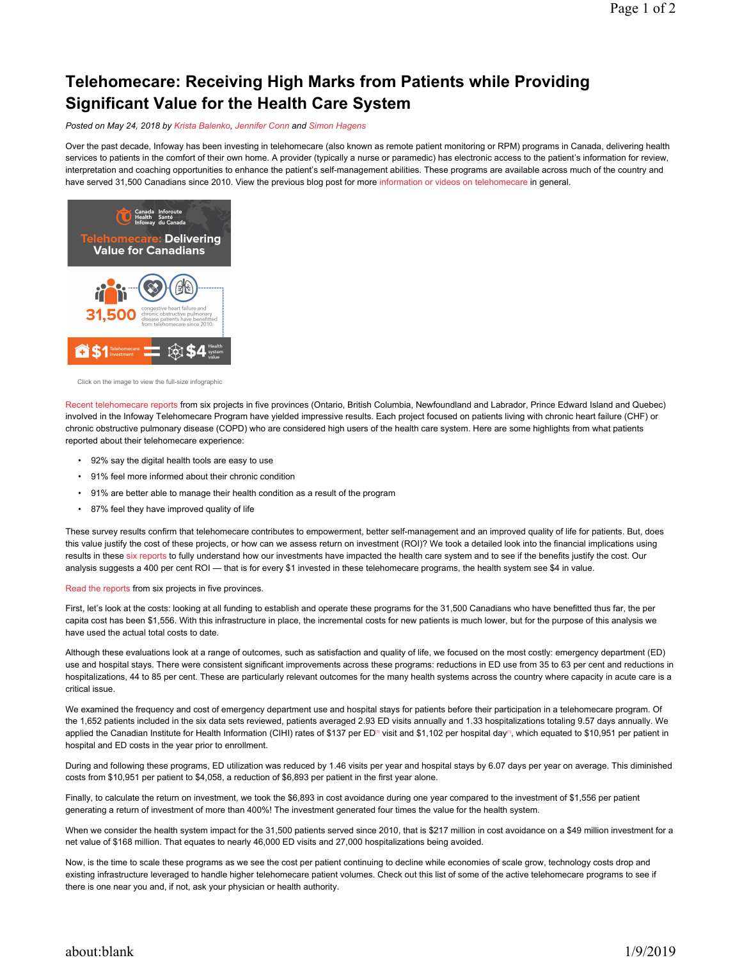# Telehomecare: Receiving High Marks from Patients while Providing Significant Value for the Health Care System

Posted on May 24, 2018 by Krista Balenko, Jennifer Conn and Simon Hagens

Over the past decade, Infoway has been investing in telehomecare (also known as remote patient monitoring or RPM) programs in Canada, delivering health services to patients in the comfort of their own home. A provider (typically a nurse or paramedic) has electronic access to the patient's information for review, interpretation and coaching opportunities to enhance the patient's self-management abilities. These programs are available across much of the country and have served 31,500 Canadians since 2010. View the previous blog post for more information or videos on telehomecare in general.



Click on the image to view the full-size infographic

Recent telehomecare reports from six projects in five provinces (Ontario, British Columbia, Newfoundland and Labrador, Prince Edward Island and Quebec) involved in the Infoway Telehomecare Program have yielded impressive results. Each project focused on patients living with chronic heart failure (CHF) or chronic obstructive pulmonary disease (COPD) who are considered high users of the health care system. Here are some highlights from what patients reported about their telehomecare experience:

- 92% say the digital health tools are easy to use
- 91% feel more informed about their chronic condition
- 91% are better able to manage their health condition as a result of the program
- 87% feel they have improved quality of life

These survey results confirm that telehomecare contributes to empowerment, better self-management and an improved quality of life for patients. But, does this value justify the cost of these projects, or how can we assess return on investment (ROI)? We took a detailed look into the financial implications using results in these six reports to fully understand how our investments have impacted the health care system and to see if the benefits justify the cost. Our analysis suggests a 400 per cent ROI — that is for every \$1 invested in these telehomecare programs, the health system see \$4 in value.

#### Read the reports from six projects in five provinces.

First, let's look at the costs: looking at all funding to establish and operate these programs for the 31,500 Canadians who have benefitted thus far, the per capita cost has been \$1,556. With this infrastructure in place, the incremental costs for new patients is much lower, but for the purpose of this analysis we have used the actual total costs to date.

Although these evaluations look at a range of outcomes, such as satisfaction and quality of life, we focused on the most costly: emergency department (ED) use and hospital stays. There were consistent significant improvements across these programs: reductions in ED use from 35 to 63 per cent and reductions in hospitalizations, 44 to 85 per cent. These are particularly relevant outcomes for the many health systems across the country where capacity in acute care is a critical issue.

We examined the frequency and cost of emergency department use and hospital stays for patients before their participation in a telehomecare program. Of the 1,652 patients included in the six data sets reviewed, patients averaged 2.93 ED visits annually and 1.33 hospitalizations totaling 9.57 days annually. We applied the Canadian Institute for Health Information (CIHI) rates of \$137 per ED<sup>nj</sup> visit and \$1,102 per hospital day<sup>n</sup>, which equated to \$10,951 per patient in hospital and ED costs in the year prior to enrollment.

During and following these programs, ED utilization was reduced by 1.46 visits per year and hospital stays by 6.07 days per year on average. This diminished costs from \$10,951 per patient to \$4,058, a reduction of \$6,893 per patient in the first year alone.

Finally, to calculate the return on investment, we took the \$6,893 in cost avoidance during one year compared to the investment of \$1,556 per patient generating a return of investment of more than 400%! The investment generated four times the value for the health system.

When we consider the health system impact for the 31,500 patients served since 2010, that is \$217 million in cost avoidance on a \$49 million investment for a net value of \$168 million. That equates to nearly 46,000 ED visits and 27,000 hospitalizations being avoided.

Now, is the time to scale these programs as we see the cost per patient continuing to decline while economies of scale grow, technology costs drop and existing infrastructure leveraged to handle higher telehomecare patient volumes. Check out this list of some of the active telehomecare programs to see if there is one near you and, if not, ask your physician or health authority.